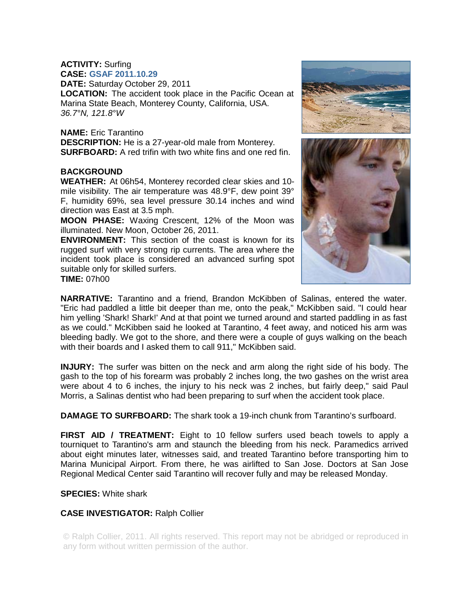# **ACTIVITY:** Surfing

**CASE: GSAF 2011.10.29**

**DATE:** Saturday October 29, 2011

**LOCATION:** The accident took place in the Pacific Ocean at Marina State Beach, Monterey County, California, USA. *36.7°N, 121.8°W* 

# **NAME:** Eric Tarantino

**DESCRIPTION:** He is a 27-year-old male from Monterey. **SURFBOARD:** A red trifin with two white fins and one red fin.

# **BACKGROUND**

**WEATHER:** At 06h54, Monterey recorded clear skies and 10 mile visibility. The air temperature was 48.9°F, dew point 39° F, humidity 69%, sea level pressure 30.14 inches and wind direction was East at 3.5 mph.

**MOON PHASE:** Waxing Crescent, 12% of the Moon was illuminated. New Moon, October 26, 2011.

**ENVIRONMENT:** This section of the coast is known for its rugged surf with very strong rip currents. The area where the incident took place is considered an advanced surfing spot suitable only for skilled surfers.

**TIME:** 07h00





**NARRATIVE:** Tarantino and a friend, Brandon McKibben of Salinas, entered the water. "Eric had paddled a little bit deeper than me, onto the peak," McKibben said. "I could hear him yelling 'Shark! Shark!' And at that point we turned around and started paddling in as fast as we could." McKibben said he looked at Tarantino, 4 feet away, and noticed his arm was bleeding badly. We got to the shore, and there were a couple of guys walking on the beach with their boards and I asked them to call 911," McKibben said.

**INJURY:** The surfer was bitten on the neck and arm along the right side of his body. The gash to the top of his forearm was probably 2 inches long, the two gashes on the wrist area were about 4 to 6 inches, the injury to his neck was 2 inches, but fairly deep," said Paul Morris, a Salinas dentist who had been preparing to surf when the accident took place.

**DAMAGE TO SURFBOARD:** The shark took a 19-inch chunk from Tarantino's surfboard.

**FIRST AID / TREATMENT:** Eight to 10 fellow surfers used beach towels to apply a tourniquet to Tarantino's arm and staunch the bleeding from his neck. Paramedics arrived about eight minutes later, witnesses said, and treated Tarantino before transporting him to Marina Municipal Airport. From there, he was airlifted to San Jose. Doctors at San Jose Regional Medical Center said Tarantino will recover fully and may be released Monday.

# **SPECIES:** White shark

# **CASE INVESTIGATOR:** Ralph Collier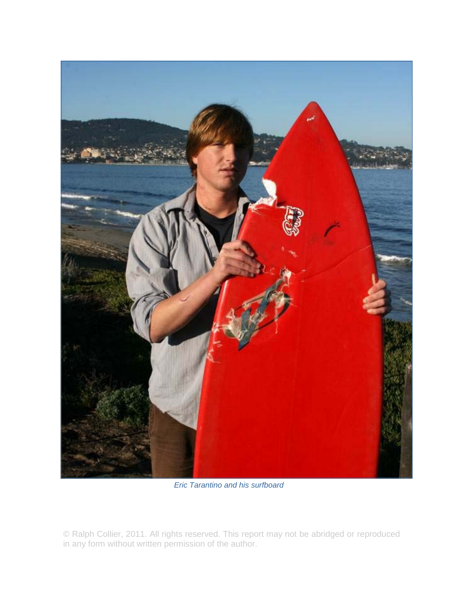

*Eric Tarantino and his surfboard*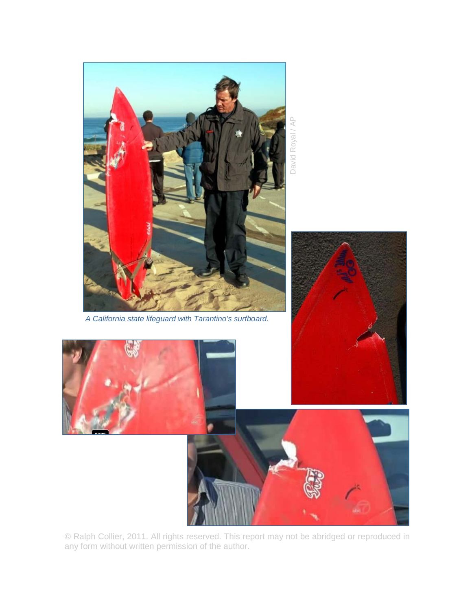

*A California state lifeguard with Tarantino's surfboard.*

David Royal / AP David Royal / AP